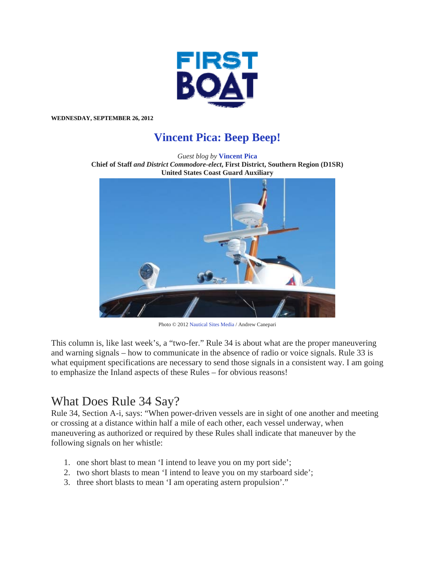

**WEDNESDAY, SEPTEMBER 26, 2012** 

## **Vincent Pica: Beep Beep!**

*Guest blog by* **Vincent Pica Chief of Staff** *and District Commodore-elect***, First District, Southern Region (D1SR) United States Coast Guard Auxiliary**



Photo © 2012 Nautical Sites Media / Andrew Canepari

This column is, like last week's, a "two-fer." Rule 34 is about what are the proper maneuvering and warning signals – how to communicate in the absence of radio or voice signals. Rule 33 is what equipment specifications are necessary to send those signals in a consistent way. I am going to emphasize the Inland aspects of these Rules – for obvious reasons!

## What Does Rule 34 Say?

Rule 34, Section A-i, says: "When power-driven vessels are in sight of one another and meeting or crossing at a distance within half a mile of each other, each vessel underway, when maneuvering as authorized or required by these Rules shall indicate that maneuver by the following signals on her whistle:

- 1. one short blast to mean 'I intend to leave you on my port side';
- 2. two short blasts to mean 'I intend to leave you on my starboard side';
- 3. three short blasts to mean 'I am operating astern propulsion'."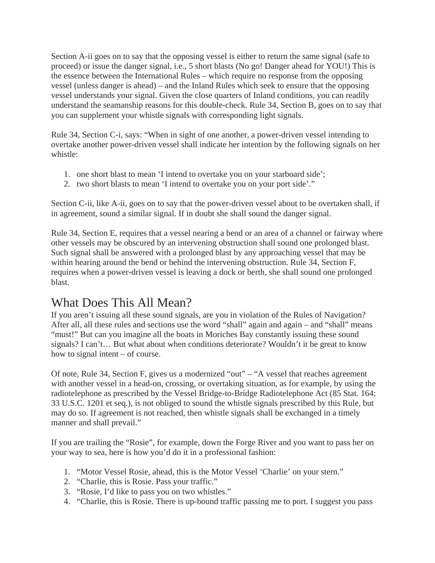Section A-ii goes on to say that the opposing vessel is either to return the same signal (safe to proceed) or issue the danger signal, i.e., 5 short blasts (No go! Danger ahead for YOU!) This is the essence between the International Rules – which require no response from the opposing vessel (unless danger is ahead) – and the Inland Rules which seek to ensure that the opposing vessel understands your signal. Given the close quarters of Inland conditions, you can readily understand the seamanship reasons for this double-check. Rule 34, Section B, goes on to say that you can supplement your whistle signals with corresponding light signals.

Rule 34, Section C-i, says: "When in sight of one another, a power-driven vessel intending to overtake another power-driven vessel shall indicate her intention by the following signals on her whistle:

- 1. one short blast to mean 'I intend to overtake you on your starboard side';
- 2. two short blasts to mean 'I intend to overtake you on your port side'."

Section C-ii, like A-ii, goes on to say that the power-driven vessel about to be overtaken shall, if in agreement, sound a similar signal. If in doubt she shall sound the danger signal.

Rule 34, Section E, requires that a vessel nearing a bend or an area of a channel or fairway where other vessels may be obscured by an intervening obstruction shall sound one prolonged blast. Such signal shall be answered with a prolonged blast by any approaching vessel that may be within hearing around the bend or behind the intervening obstruction. Rule 34, Section F, requires when a power-driven vessel is leaving a dock or berth, she shall sound one prolonged blast.

## What Does This All Mean?

If you aren't issuing all these sound signals, are you in violation of the Rules of Navigation? After all, all these rules and sections use the word "shall" again and again – and "shall" means "must!" But can you imagine all the boats in Moriches Bay constantly issuing these sound signals? I can't… But what about when conditions deteriorate? Wouldn't it be great to know how to signal intent – of course.

Of note, Rule 34, Section F, gives us a modernized "out" – "A vessel that reaches agreement with another vessel in a head-on, crossing, or overtaking situation, as for example, by using the radiotelephone as prescribed by the Vessel Bridge-to-Bridge Radiotelephone Act (85 Stat. 164; 33 U.S.C. 1201 et seq.), is not obliged to sound the whistle signals prescribed by this Rule, but may do so. If agreement is not reached, then whistle signals shall be exchanged in a timely manner and shall prevail."

If you are trailing the "Rosie", for example, down the Forge River and you want to pass her on your way to sea, here is how you'd do it in a professional fashion:

- 1. "Motor Vessel Rosie, ahead, this is the Motor Vessel 'Charlie' on your stern."
- 2. "Charlie, this is Rosie. Pass your traffic."
- 3. "Rosie, I'd like to pass you on two whistles."
- 4. "Charlie, this is Rosie. There is up-bound traffic passing me to port. I suggest you pass